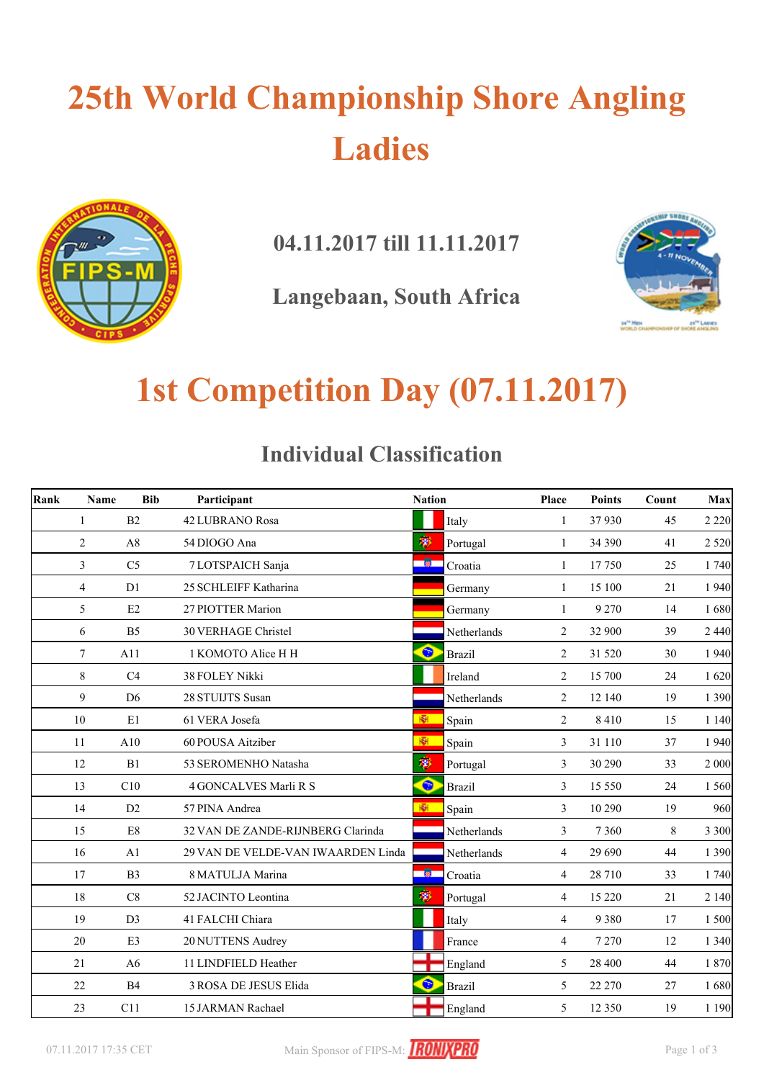# **25th World Championship Shore Angling Ladies**



**04.11.2017 till 11.11.2017**

**Langebaan, South Africa**



## **1st Competition Day (07.11.2017)**

#### **Individual Classification**

| Rank<br><b>Bib</b><br>Name |                |                | Participant                        |                         | <b>Nation</b> |                | <b>Points</b> | Count | Max     |
|----------------------------|----------------|----------------|------------------------------------|-------------------------|---------------|----------------|---------------|-------|---------|
|                            | $\mathbf{1}$   | B2             | 42 LUBRANO Rosa                    |                         | Italy         | $\mathbf{1}$   | 37930         | 45    | 2 2 2 0 |
|                            | $\overline{2}$ | A8             | 54 DIOGO Ana                       | 萝                       | Portugal      | $\mathbf{1}$   | 34 390        | 41    | 2 5 20  |
|                            | $\overline{3}$ | C <sub>5</sub> | 7 LOTSPAICH Sanja                  | 一箇                      | Croatia       | $\mathbf{1}$   | 17750         | 25    | 1 740   |
|                            | $\overline{4}$ | D1             | 25 SCHLEIFF Katharina              |                         | Germany       | 1              | 15 100        | 21    | 1 9 4 0 |
|                            | 5              | E2             | 27 PIOTTER Marion                  |                         | Germany       | 1              | 9 2 7 0       | 14    | 1680    |
|                            | 6              | B <sub>5</sub> | <b>30 VERHAGE Christel</b>         |                         | Netherlands   | 2              | 32 900        | 39    | 2 4 4 0 |
|                            | 7              | A11            | 1 KOMOTO Alice H H                 | $\bullet$               | <b>Brazil</b> | 2              | 31 520        | 30    | 1 9 4 0 |
|                            | 8              | C <sub>4</sub> | 38 FOLEY Nikki                     |                         | Ireland       | 2              | 15 700        | 24    | 1620    |
|                            | 9              | D <sub>6</sub> | 28 STUIJTS Susan                   |                         | Netherlands   | $\overline{2}$ | 12 140        | 19    | 1 3 9 0 |
|                            | 10             | E1             | 61 VERA Josefa                     | $\overline{\mathbf{R}}$ | Spain         | 2              | 8410          | 15    | 1 1 4 0 |
|                            | 11             | A10            | 60 POUSA Aitziber                  | Ñ.                      | Spain         | 3              | 31 110        | 37    | 1 9 4 0 |
|                            | 12             | B1             | 53 SEROMENHO Natasha               | 宓                       | Portugal      | 3              | 30 290        | 33    | 2 000   |
|                            | 13             | C10            | 4 GONCALVES Marli R S              | $\bullet$               | <b>Brazil</b> | 3              | 15 550        | 24    | 1 5 6 0 |
|                            | 14             | D2             | 57 PINA Andrea                     | 柳                       | Spain         | 3              | 10 290        | 19    | 960     |
|                            | 15             | E8             | 32 VAN DE ZANDE-RIJNBERG Clarinda  |                         | Netherlands   | 3              | 7 3 6 0       | 8     | 3 3 0 0 |
|                            | 16             | A1             | 29 VAN DE VELDE-VAN IWAARDEN Linda |                         | Netherlands   | $\overline{4}$ | 29 690        | 44    | 1 3 9 0 |
|                            | 17             | B <sub>3</sub> | 8 MATULJA Marina                   | 一徽                      | Croatia       | $\overline{4}$ | 28 710        | 33    | 1 740   |
|                            | 18             | C8             | 52 JACINTO Leontina                | Ŵ                       | Portugal      | $\overline{4}$ | 15 2 20       | 21    | 2 1 4 0 |
|                            | 19             | D <sub>3</sub> | 41 FALCHI Chiara                   |                         | Italy         | 4              | 9 3 8 0       | 17    | 1 500   |
|                            | 20             | E <sub>3</sub> | 20 NUTTENS Audrey                  |                         | France        | $\overline{4}$ | 7 2 7 0       | 12    | 1 3 4 0 |
|                            | 21             | A <sub>6</sub> | 11 LINDFIELD Heather               |                         | England       | 5              | 28 400        | 44    | 1 870   |
|                            | 22             | B <sub>4</sub> | 3 ROSA DE JESUS Elida              | $\bullet$               | <b>Brazil</b> | 5              | 22 270        | 27    | 1680    |
|                            | 23             | C11            | 15 JARMAN Rachael                  |                         | England       | 5              | 12 3 5 0      | 19    | 1 1 9 0 |

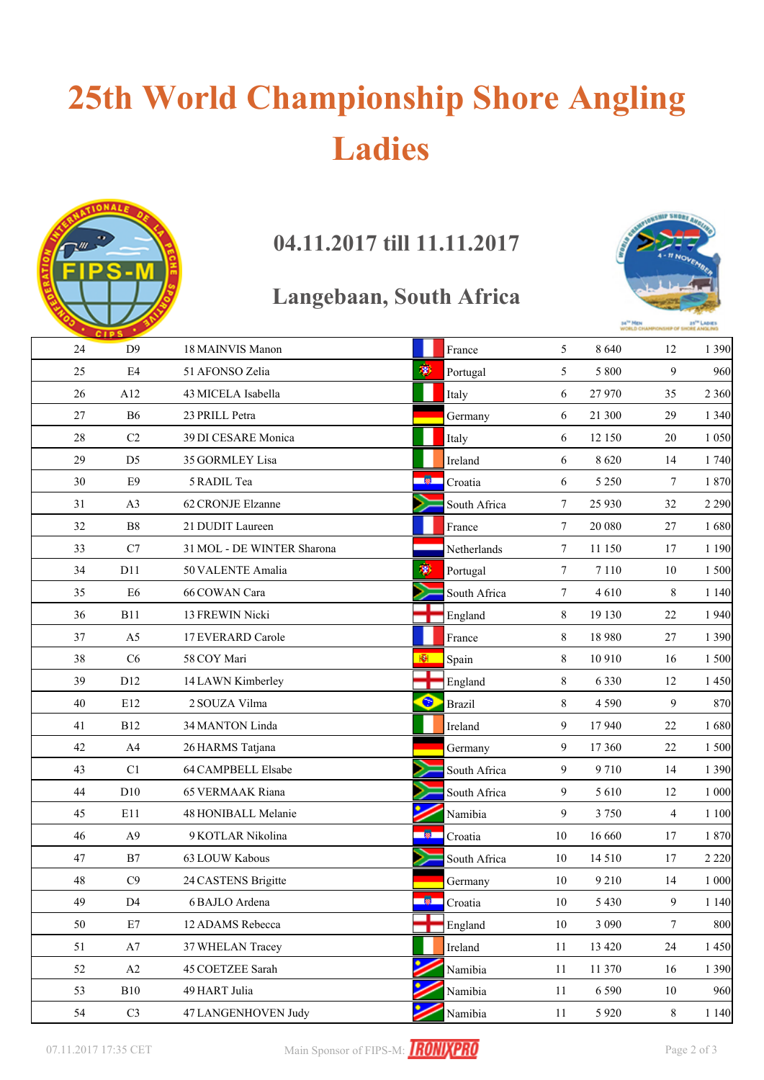# **25th World Championship Shore Angling Ladies**



### **04.11.2017 till 11.11.2017**

### **Langebaan, South Africa**



|    | <b>CIPS</b>    |                            |                            |                 |          |                |         |
|----|----------------|----------------------------|----------------------------|-----------------|----------|----------------|---------|
| 24 | D <sup>9</sup> | 18 MAINVIS Manon           | France                     | 5               | 8 6 4 0  | 12             | 1 3 9 0 |
| 25 | E4             | 51 AFONSO Zelia            | 粵<br>Portugal              | 5               | 5 8 0 0  | 9              | 960     |
| 26 | A12            | 43 MICELA Isabella         | Italy                      | 6               | 27 970   | 35             | 2 3 6 0 |
| 27 | <b>B6</b>      | 23 PRILL Petra             | Germany                    | 6               | 21 300   | 29             | 1 3 4 0 |
| 28 | C2             | 39 DI CESARE Monica        | Italy                      | 6               | 12 150   | 20             | 1 0 5 0 |
| 29 | D <sub>5</sub> | 35 GORMLEY Lisa            | Ireland                    | 6               | 8620     | 14             | 1740    |
| 30 | E9             | 5 RADIL Tea                | - 蘭一<br>Croatia            | 6               | 5 2 5 0  | $\tau$         | 1870    |
| 31 | A <sub>3</sub> | 62 CRONJE Elzanne          | South Africa               | $\tau$          | 25 9 30  | 32             | 2 2 9 0 |
| 32 | B8             | 21 DUDIT Laureen           | France                     | 7               | 20 080   | 27             | 1680    |
| 33 | C7             | 31 MOL - DE WINTER Sharona | Netherlands                | 7               | 11 150   | 17             | 1 1 9 0 |
| 34 | D11            | 50 VALENTE Amalia          | 變<br>Portugal              | $7\phantom{.0}$ | 7 1 1 0  | 10             | 1500    |
| 35 | E <sub>6</sub> | 66 COWAN Cara              | South Africa               | $\tau$          | 4610     | 8              | 1 1 4 0 |
| 36 | <b>B11</b>     | 13 FREWIN Nicki            | England                    | 8               | 19 130   | 22             | 1940    |
| 37 | A <sub>5</sub> | 17 EVERARD Carole          | France                     | 8               | 18 9 8 0 | 27             | 1 3 9 0 |
| 38 | C6             | 58 COY Mari                | 翮<br>Spain                 | 8               | 10 910   | 16             | 1 500   |
| 39 | D12            | 14 LAWN Kimberley          | England                    | 8               | 6 3 3 0  | 12             | 1450    |
| 40 | E12            | 2 SOUZA Vilma              | $\bullet$<br><b>Brazil</b> | 8               | 4 5 9 0  | 9              | 870     |
| 41 | <b>B12</b>     | 34 MANTON Linda            | Ireland                    | 9               | 17940    | 22             | 1680    |
| 42 | A4             | 26 HARMS Tatjana           | Germany                    | 9               | 17 360   | $22\,$         | 1 500   |
| 43 | C1             | 64 CAMPBELL Elsabe         | South Africa               | 9               | 9710     | 14             | 1 3 9 0 |
| 44 | D10            | 65 VERMAAK Riana           | South Africa               | 9               | 5 6 1 0  | 12             | 1 000   |
| 45 | E11            | 48 HONIBALL Melanie        | Namibia                    | 9               | 3 7 5 0  | $\overline{4}$ | 1 1 0 0 |
| 46 | A9             | 9 KOTLAR Nikolina          | Croatia                    | 10              | 16 660   | 17             | 1870    |
| 47 | B7             | 63 LOUW Kabous             | South Africa               | 10              | 14 5 10  | 17             | 2 2 2 0 |
| 48 | C9             | 24 CASTENS Brigitte        | Germany                    | 10              | 9 2 1 0  | 14             | 1 000   |
| 49 | D <sub>4</sub> | 6 BAJLO Ardena             | <b>R</b><br>Croatia        | 10              | 5 4 3 0  | 9              | 1 1 4 0 |
| 50 | E7             | 12 ADAMS Rebecca           | England                    | 10              | 3 0 9 0  | 7              | 800     |
| 51 | $\rm A7$       | 37 WHELAN Tracey           | Ireland                    | 11              | 13 4 20  | 24             | 1 4 5 0 |
| 52 | A2             | 45 COETZEE Sarah           | Namibia                    | 11              | 11 370   | 16             | 1 3 9 0 |
| 53 | B10            | 49 HART Julia              | Namibia                    | 11              | 6 5 9 0  | $10\,$         | 960     |
| 54 | $\rm{C}3$      | 47 LANGENHOVEN Judy        | Namibia                    | 11              | 5 9 2 0  | $\,8\,$        | 1 1 4 0 |